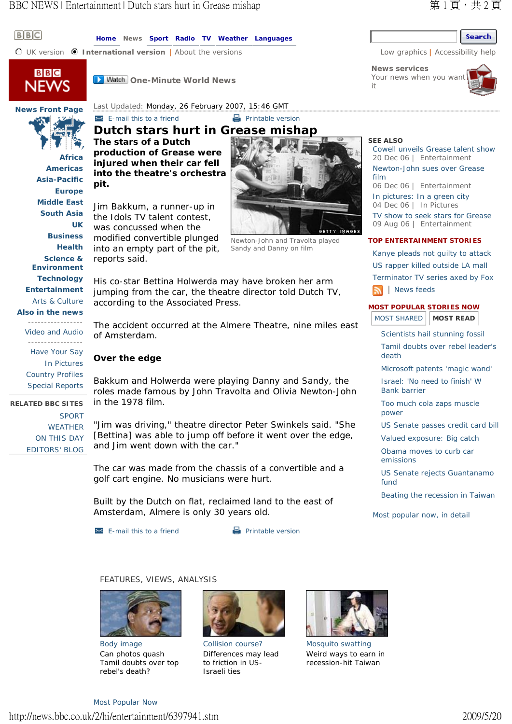## Search

**News services** Your news when you wan it



**Home News Sport Radio TV Weather Languages**

**C** UK version **@ International version** | About the versions Low graphics | Accessibility help



 $B$  $B$  $C$ 

**D** Watch One-Minute World News

# **News Front Page**

**Africa Americas Asia-Pacific Europe Middle East South Asia**

**UK Business Health Science & Environment Technology Entertainment** Arts & Culture **Also in the news**

-----------------

-----------------

Have Your Say In Pictures Country Profiles Special Reports

**RELATED BBC SITES** 

SPORT WEATHER ON THIS DAY EDITORS' BLOG

Video and Audio

Last Updated: Monday, 26 February 2007, 15:46 GMT **E-mail this to a friend** Printable version **Dutch stars hurt in Grease mishap** 

**The stars of a Dutch production of Grease were injured when their car fell into the theatre's orchestra pit.**

Jim Bakkum, a runner-up in the Idols TV talent contest, was concussed when the modified convertible plunged into an empty part of the pit, reports said.



His co-star Bettina Holwerda may have broken her arm jumping from the car, the theatre director told Dutch TV, according to the Associated Press.

The accident occurred at the Almere Theatre, nine miles east of Amsterdam.

## **Over the edge**

Bakkum and Holwerda were playing Danny and Sandy, the roles made famous by John Travolta and Olivia Newton-John in the 1978 film.

"Jim was driving," theatre director Peter Swinkels said. "She [Bettina] was able to jump off before it went over the edge, and Jim went down with the car."

The car was made from the chassis of a convertible and a golf cart engine. No musicians were hurt.

Built by the Dutch on flat, reclaimed land to the east of Amsterdam, Almere is only 30 years old.

 $\approx$  E-mail this to a friend  $\Box$  Printable version

## FEATURES, VIEWS, ANALYSIS



Body image Can photos quash Tamil doubts over top rebel's death?



Collision course? Differences may lead to friction in US-Israeli ties



Mosquito swatting Weird ways to earn in recession-hit Taiwan

#### **SEE ALSO**  Cowell unveils Grease talent show

20 Dec 06 | Entertainment Newton-John sues over Grease film 06 Dec 06 | Entertainment In pictures: In a green city 04 Dec 06 | In Pictures TV show to seek stars for Grease 09 Aug 06 | Entertainment

#### **TOP ENTERTAINMENT STORIES**

Kanye pleads not guilty to attack US rapper killed outside LA mall Terminator TV series axed by Fox **News** feeds

### **MOST POPULAR STORIES NOW**

MOST SHARED **MOST READ** 

Scientists hail stunning fossil

Tamil doubts over rebel leader's death

Microsoft patents 'magic wand'

Israel: 'No need to finish' W Bank barrier

Too much cola zaps muscle power

US Senate passes credit card bill

Valued exposure: Big catch

Obama moves to curb car emissions

US Senate rejects Guantanamo fund

Beating the recession in Taiwan

Most popular now, in detail